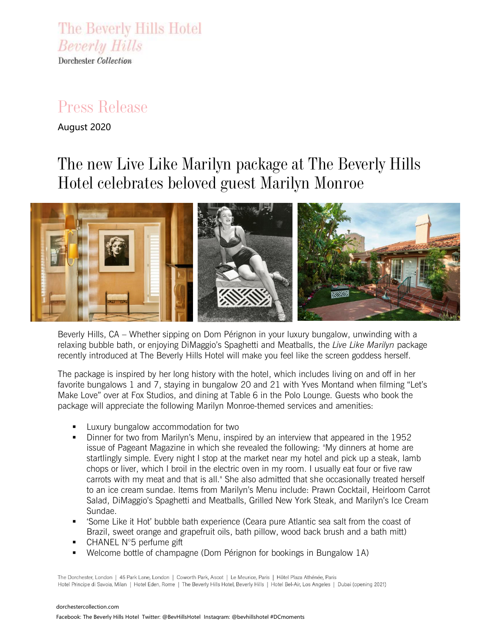The Beverly Hills Hotel **Beverly Hills** Dorchester Collection

## *Press Release*

August 2020

# *The new Live Like Marilyn package at The Beverly Hills Hotel celebrates beloved guest Marilyn Monroe*



Beverly Hills, CA – Whether sipping on Dom Pérignon in your luxury bungalow, unwinding with a relaxing bubble bath, or enjoying DiMaggio's Spaghetti and Meatballs, the *Live Like Marilyn* package recently introduced at The Beverly Hills Hotel will make you feel like the screen goddess herself.

The package is inspired by her long history with the hotel, which includes living on and off in her favorite bungalows 1 and 7, staying in bungalow 20 and 21 with Yves Montand when filming "Let's Make Love" over at Fox Studios, and dining at Table 6 in the Polo Lounge. Guests who book the package will appreciate the following Marilyn Monroe-themed services and amenities:

- Luxury bungalow accommodation for two
- Dinner for two from Marilyn's Menu, inspired by an interview that appeared in the 1952 issue of Pageant Magazine in which she revealed the following: ''My dinners at home are startlingly simple. Every night I stop at the market near my hotel and pick up a steak, lamb chops or liver, which I broil in the electric oven in my room. I usually eat four or five raw carrots with my meat and that is all.'' She also admitted that she occasionally treated herself to an ice cream sundae. Items from Marilyn's Menu include: Prawn Cocktail, Heirloom Carrot Salad, DiMaggio's Spaghetti and Meatballs, Grilled New York Steak, and Marilyn's Ice Cream Sundae.
- 'Some Like it Hot' bubble bath experience (Ceara pure Atlantic sea salt from the coast of Brazil, sweet orange and grapefruit oils, bath pillow, wood back brush and a bath mitt)
- CHANEL N°5 perfume gift
- Welcome bottle of champagne (Dom Pérignon for bookings in Bungalow 1A)

The Dorchester, London | 45 Park Lane, London | Coworth Park, Ascot | Le Meurice, Paris | Hôtel Plaza Athénée, Paris Hotel Principe di Savoia, Milan | Hotel Eden, Rome | The Beverly Hills Hotel, Beverly Hills | Hotel Bel-Air, Los Angeles | Dubai (opening 2021)